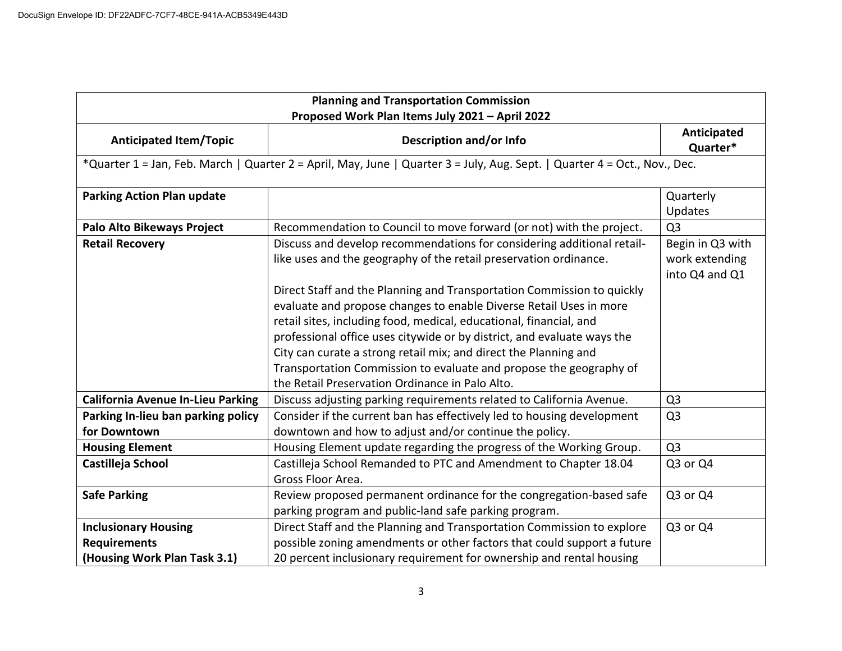| <b>Planning and Transportation Commission</b><br>Proposed Work Plan Items July 2021 - April 2022                          |                                                                                                                                                                                                                                                                                                                                                                                                                                                                                            |                                                      |  |
|---------------------------------------------------------------------------------------------------------------------------|--------------------------------------------------------------------------------------------------------------------------------------------------------------------------------------------------------------------------------------------------------------------------------------------------------------------------------------------------------------------------------------------------------------------------------------------------------------------------------------------|------------------------------------------------------|--|
| <b>Anticipated Item/Topic</b>                                                                                             | Description and/or Info                                                                                                                                                                                                                                                                                                                                                                                                                                                                    | Anticipated<br>Quarter*                              |  |
| *Quarter 1 = Jan, Feb. March   Quarter 2 = April, May, June   Quarter 3 = July, Aug. Sept.   Quarter 4 = Oct., Nov., Dec. |                                                                                                                                                                                                                                                                                                                                                                                                                                                                                            |                                                      |  |
| <b>Parking Action Plan update</b>                                                                                         |                                                                                                                                                                                                                                                                                                                                                                                                                                                                                            | Quarterly<br>Updates                                 |  |
| <b>Palo Alto Bikeways Project</b>                                                                                         | Recommendation to Council to move forward (or not) with the project.                                                                                                                                                                                                                                                                                                                                                                                                                       | Q <sub>3</sub>                                       |  |
| <b>Retail Recovery</b>                                                                                                    | Discuss and develop recommendations for considering additional retail-<br>like uses and the geography of the retail preservation ordinance.                                                                                                                                                                                                                                                                                                                                                | Begin in Q3 with<br>work extending<br>into Q4 and Q1 |  |
|                                                                                                                           | Direct Staff and the Planning and Transportation Commission to quickly<br>evaluate and propose changes to enable Diverse Retail Uses in more<br>retail sites, including food, medical, educational, financial, and<br>professional office uses citywide or by district, and evaluate ways the<br>City can curate a strong retail mix; and direct the Planning and<br>Transportation Commission to evaluate and propose the geography of<br>the Retail Preservation Ordinance in Palo Alto. |                                                      |  |
| <b>California Avenue In-Lieu Parking</b>                                                                                  | Discuss adjusting parking requirements related to California Avenue.                                                                                                                                                                                                                                                                                                                                                                                                                       | Q <sub>3</sub>                                       |  |
| Parking In-lieu ban parking policy<br>for Downtown                                                                        | Consider if the current ban has effectively led to housing development<br>downtown and how to adjust and/or continue the policy.                                                                                                                                                                                                                                                                                                                                                           | Q <sub>3</sub>                                       |  |
| <b>Housing Element</b>                                                                                                    | Housing Element update regarding the progress of the Working Group.                                                                                                                                                                                                                                                                                                                                                                                                                        | Q <sub>3</sub>                                       |  |
| Castilleja School                                                                                                         | Castilleja School Remanded to PTC and Amendment to Chapter 18.04<br>Gross Floor Area.                                                                                                                                                                                                                                                                                                                                                                                                      | Q3 or Q4                                             |  |
| <b>Safe Parking</b>                                                                                                       | Review proposed permanent ordinance for the congregation-based safe<br>parking program and public-land safe parking program.                                                                                                                                                                                                                                                                                                                                                               | Q3 or Q4                                             |  |
| <b>Inclusionary Housing</b>                                                                                               | Direct Staff and the Planning and Transportation Commission to explore                                                                                                                                                                                                                                                                                                                                                                                                                     | Q3 or Q4                                             |  |
| <b>Requirements</b>                                                                                                       | possible zoning amendments or other factors that could support a future                                                                                                                                                                                                                                                                                                                                                                                                                    |                                                      |  |
| (Housing Work Plan Task 3.1)                                                                                              | 20 percent inclusionary requirement for ownership and rental housing                                                                                                                                                                                                                                                                                                                                                                                                                       |                                                      |  |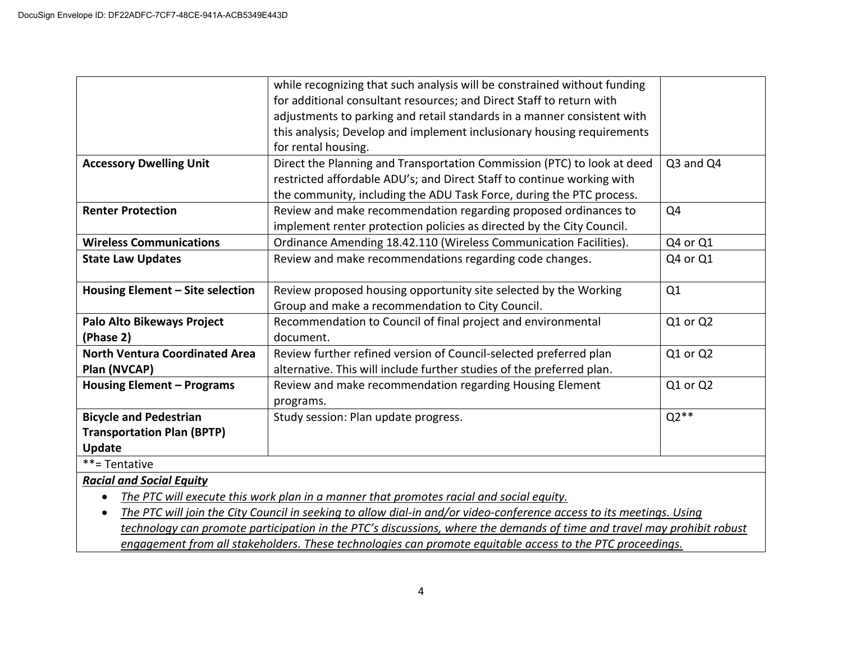|                                       | while recognizing that such analysis will be constrained without funding |           |
|---------------------------------------|--------------------------------------------------------------------------|-----------|
|                                       | for additional consultant resources; and Direct Staff to return with     |           |
|                                       | adjustments to parking and retail standards in a manner consistent with  |           |
|                                       | this analysis; Develop and implement inclusionary housing requirements   |           |
|                                       | for rental housing.                                                      |           |
| <b>Accessory Dwelling Unit</b>        | Direct the Planning and Transportation Commission (PTC) to look at deed  | Q3 and Q4 |
|                                       | restricted affordable ADU's; and Direct Staff to continue working with   |           |
|                                       | the community, including the ADU Task Force, during the PTC process.     |           |
| <b>Renter Protection</b>              | Review and make recommendation regarding proposed ordinances to          | Q4        |
|                                       | implement renter protection policies as directed by the City Council.    |           |
| <b>Wireless Communications</b>        | Ordinance Amending 18.42.110 (Wireless Communication Facilities).        | Q4 or Q1  |
| <b>State Law Updates</b>              | Review and make recommendations regarding code changes.                  | Q4 or Q1  |
|                                       |                                                                          |           |
| Housing Element - Site selection      | Review proposed housing opportunity site selected by the Working         | Q1        |
|                                       | Group and make a recommendation to City Council.                         |           |
| <b>Palo Alto Bikeways Project</b>     | Recommendation to Council of final project and environmental             | Q1 or Q2  |
| (Phase 2)                             | document.                                                                |           |
| <b>North Ventura Coordinated Area</b> | Review further refined version of Council-selected preferred plan        | Q1 or Q2  |
| Plan (NVCAP)                          | alternative. This will include further studies of the preferred plan.    |           |
| <b>Housing Element - Programs</b>     | Review and make recommendation regarding Housing Element                 | Q1 or Q2  |
|                                       | programs.                                                                |           |
| <b>Bicycle and Pedestrian</b>         | Study session: Plan update progress.                                     | $Q2**$    |
| <b>Transportation Plan (BPTP)</b>     |                                                                          |           |
| Update                                |                                                                          |           |
| **= Tentative                         |                                                                          |           |

*Racial and Social Equity*

• *The PTC will execute this work plan in a manner that promotes racial and social equity.* 

• *The PTC will join the City Council in seeking to allow dial-in and/or video-conference access to its meetings. Using technology can promote participation in the PTC's discussions, where the demands of time and travel may prohibit robust engagement from all stakeholders. These technologies can promote equitable access to the PTC proceedings.*